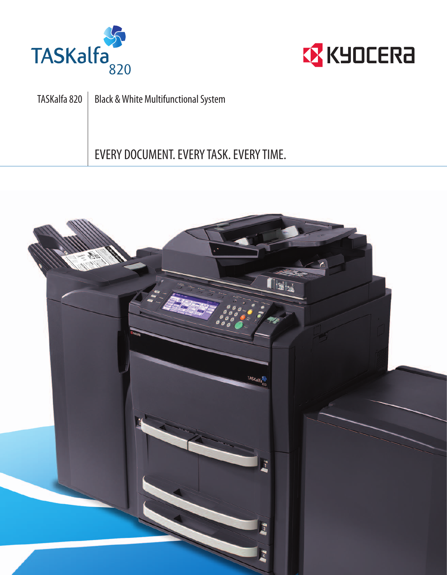



TASKalfa 820 | Black & White Multifunctional System EVERY DOCUMENT.EVERYTASK.EVERYTIME.